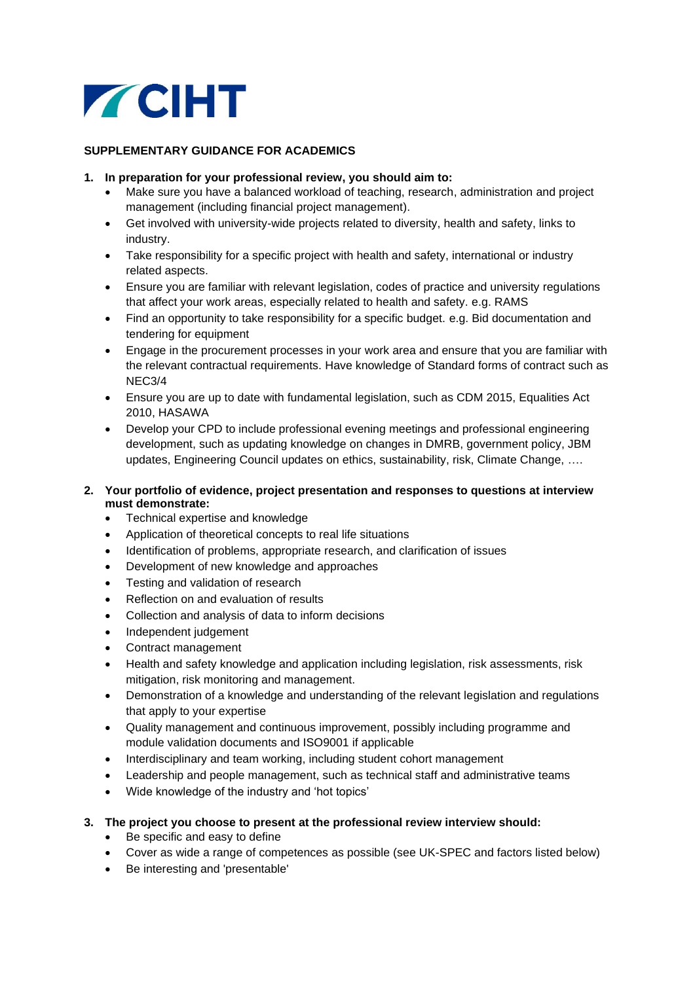

## **SUPPLEMENTARY GUIDANCE FOR ACADEMICS**

- **1. In preparation for your professional review, you should aim to:**
	- Make sure you have a balanced workload of teaching, research, administration and project management (including financial project management).
	- Get involved with university-wide projects related to diversity, health and safety, links to industry.
	- Take responsibility for a specific project with health and safety, international or industry related aspects.
	- Ensure you are familiar with relevant legislation, codes of practice and university regulations that affect your work areas, especially related to health and safety. e.g. RAMS
	- Find an opportunity to take responsibility for a specific budget. e.g. Bid documentation and tendering for equipment
	- Engage in the procurement processes in your work area and ensure that you are familiar with the relevant contractual requirements. Have knowledge of Standard forms of contract such as NEC3/4
	- Ensure you are up to date with fundamental legislation, such as CDM 2015, Equalities Act 2010, HASAWA
	- Develop your CPD to include professional evening meetings and professional engineering development, such as updating knowledge on changes in DMRB, government policy, JBM updates, Engineering Council updates on ethics, sustainability, risk, Climate Change, ….

## **2. Your portfolio of evidence, project presentation and responses to questions at interview must demonstrate:**

- Technical expertise and knowledge
- Application of theoretical concepts to real life situations
- Identification of problems, appropriate research, and clarification of issues
- Development of new knowledge and approaches
- Testing and validation of research
- Reflection on and evaluation of results
- Collection and analysis of data to inform decisions
- Independent judgement
- Contract management
- Health and safety knowledge and application including legislation, risk assessments, risk mitigation, risk monitoring and management.
- Demonstration of a knowledge and understanding of the relevant legislation and regulations that apply to your expertise
- Quality management and continuous improvement, possibly including programme and module validation documents and ISO9001 if applicable
- Interdisciplinary and team working, including student cohort management
- Leadership and people management, such as technical staff and administrative teams
- Wide knowledge of the industry and 'hot topics'
- **3. The project you choose to present at the professional review interview should:**
	- Be specific and easy to define
	- Cover as wide a range of competences as possible (see UK-SPEC and factors listed below)
	- Be interesting and 'presentable'